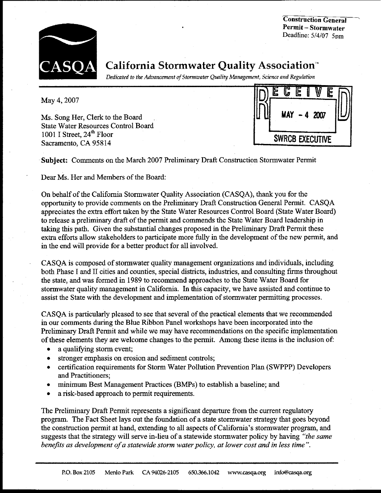**Construction General Permit - Stormwater** Deadline: 5/4/07 5pm



**California Stormwater Quality Association**<sup>\*</sup>

Dedicated to the Advancement of Stormwater Quality Management, Science and Regulation

May 4, 2007

Ms. Song Her, Clerk to the Board **State Water Resources Control Board** 1001 I Street, 24<sup>th</sup> Floor Sacramento, CA 95814

lь **SWRCB EXECUTIVE** 

Subject: Comments on the March 2007 Preliminary Draft Construction Stormwater Permit

Dear Ms. Her and Members of the Board:

On behalf of the California Stormwater Quality Association (CASQA), thank you for the opportunity to provide comments on the Preliminary Draft Construction General Permit. CASQA appreciates the extra effort taken by the State Water Resources Control Board (State Water Board) to release a preliminary draft of the permit and commends the State Water Board leadership in taking this path. Given the substantial changes proposed in the Preliminary Draft Permit these extra efforts allow stakeholders to participate more fully in the development of the new permit, and in the end will provide for a better product for all involved.

CASQA is composed of stormwater quality management organizations and individuals, including both Phase I and II cities and counties, special districts, industries, and consulting firms throughout the state, and was formed in 1989 to recommend approaches to the State Water Board for stormwater quality management in California. In this capacity, we have assisted and continue to assist the State with the development and implementation of stormwater permitting processes.

CASOA is particularly pleased to see that several of the practical elements that we recommended in our comments during the Blue Ribbon Panel workshops have been incorporated into the Preliminary Draft Permit and while we may have recommendations on the specific implementation of these elements they are welcome changes to the permit. Among these items is the inclusion of:

- a qualifying storm event;
- stronger emphasis on erosion and sediment controls;
- certification requirements for Storm Water Pollution Prevention Plan (SWPPP) Developers  $\bullet$ and Practitioners:
- minimum Best Management Practices (BMPs) to establish a baseline; and
- a risk-based approach to permit requirements.

The Preliminary Draft Permit represents a significant departure from the current regulatory program. The Fact Sheet lays out the foundation of a state stormwater strategy that goes beyond the construction permit at hand, extending to all aspects of California's stormwater program, and suggests that the strategy will serve in-lieu of a statewide stormwater policy by having "the same benefits as development of a statewide storm water policy, at lower cost and in less time".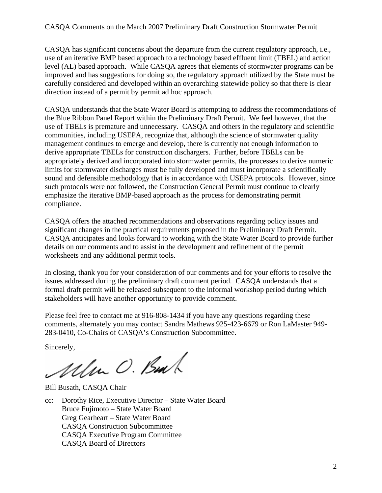# CASQA Comments on the March 2007 Preliminary Draft Construction Stormwater Permit

CASQA has significant concerns about the departure from the current regulatory approach, i.e., use of an iterative BMP based approach to a technology based effluent limit (TBEL) and action level (AL) based approach. While CASQA agrees that elements of stormwater programs can be improved and has suggestions for doing so, the regulatory approach utilized by the State must be carefully considered and developed within an overarching statewide policy so that there is clear direction instead of a permit by permit ad hoc approach.

CASQA understands that the State Water Board is attempting to address the recommendations of the Blue Ribbon Panel Report within the Preliminary Draft Permit. We feel however, that the use of TBELs is premature and unnecessary. CASQA and others in the regulatory and scientific communities, including USEPA, recognize that, although the science of stormwater quality management continues to emerge and develop, there is currently not enough information to derive appropriate TBELs for construction dischargers. Further, before TBELs can be appropriately derived and incorporated into stormwater permits, the processes to derive numeric limits for stormwater discharges must be fully developed and must incorporate a scientifically sound and defensible methodology that is in accordance with USEPA protocols. However, since such protocols were not followed, the Construction General Permit must continue to clearly emphasize the iterative BMP-based approach as the process for demonstrating permit compliance.

CASQA offers the attached recommendations and observations regarding policy issues and significant changes in the practical requirements proposed in the Preliminary Draft Permit. CASQA anticipates and looks forward to working with the State Water Board to provide further details on our comments and to assist in the development and refinement of the permit worksheets and any additional permit tools.

In closing, thank you for your consideration of our comments and for your efforts to resolve the issues addressed during the preliminary draft comment period. CASQA understands that a formal draft permit will be released subsequent to the informal workshop period during which stakeholders will have another opportunity to provide comment.

Please feel free to contact me at 916-808-1434 if you have any questions regarding these comments, alternately you may contact Sandra Mathews 925-423-6679 or Ron LaMaster 949- 283-0410, Co-Chairs of CASQA's Construction Subcommittee.

Sincerely,

Ullen O. Bul

Bill Busath, CASQA Chair

cc: Dorothy Rice, Executive Director – State Water Board Bruce Fujimoto – State Water Board Greg Gearheart – State Water Board CASQA Construction Subcommittee CASQA Executive Program Committee CASQA Board of Directors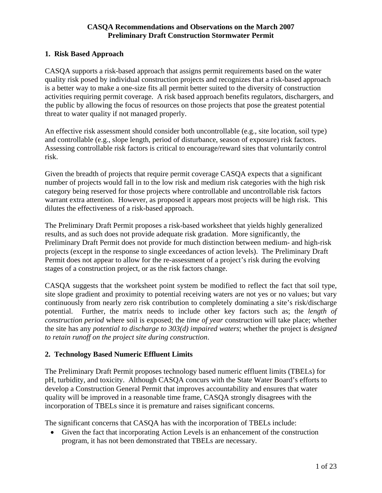## **1. Risk Based Approach**

CASQA supports a risk-based approach that assigns permit requirements based on the water quality risk posed by individual construction projects and recognizes that a risk-based approach is a better way to make a one-size fits all permit better suited to the diversity of construction activities requiring permit coverage. A risk based approach benefits regulators, dischargers, and the public by allowing the focus of resources on those projects that pose the greatest potential threat to water quality if not managed properly.

An effective risk assessment should consider both uncontrollable (e.g., site location, soil type) and controllable (e.g., slope length, period of disturbance, season of exposure) risk factors. Assessing controllable risk factors is critical to encourage/reward sites that voluntarily control risk.

Given the breadth of projects that require permit coverage CASQA expects that a significant number of projects would fall in to the low risk and medium risk categories with the high risk category being reserved for those projects where controllable and uncontrollable risk factors warrant extra attention. However, as proposed it appears most projects will be high risk. This dilutes the effectiveness of a risk-based approach.

The Preliminary Draft Permit proposes a risk-based worksheet that yields highly generalized results, and as such does not provide adequate risk gradation. More significantly, the Preliminary Draft Permit does not provide for much distinction between medium- and high-risk projects (except in the response to single exceedances of action levels). The Preliminary Draft Permit does not appear to allow for the re-assessment of a project's risk during the evolving stages of a construction project, or as the risk factors change.

CASQA suggests that the worksheet point system be modified to reflect the fact that soil type, site slope gradient and proximity to potential receiving waters are not yes or no values; but vary continuously from nearly zero risk contribution to completely dominating a site's risk/discharge potential. Further, the matrix needs to include other key factors such as; the *length of construction period* where soil is exposed; the *time of year* construction will take place; whether the site has any *potential to discharge to 303(d) impaired waters*; whether the project is *designed to retain runoff on the project site during construction*.

# **2. Technology Based Numeric Effluent Limits**

The Preliminary Draft Permit proposes technology based numeric effluent limits (TBELs) for pH, turbidity, and toxicity. Although CASQA concurs with the State Water Board's efforts to develop a Construction General Permit that improves accountability and ensures that water quality will be improved in a reasonable time frame, CASQA strongly disagrees with the incorporation of TBELs since it is premature and raises significant concerns.

The significant concerns that CASQA has with the incorporation of TBELs include:

• Given the fact that incorporating Action Levels is an enhancement of the construction program, it has not been demonstrated that TBELs are necessary.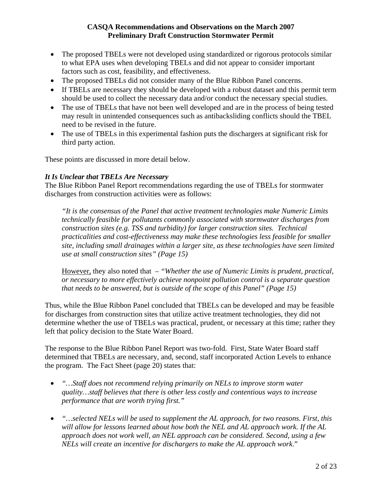- The proposed TBELs were not developed using standardized or rigorous protocols similar to what EPA uses when developing TBELs and did not appear to consider important factors such as cost, feasibility, and effectiveness.
- The proposed TBELs did not consider many of the Blue Ribbon Panel concerns.
- If TBELs are necessary they should be developed with a robust dataset and this permit term should be used to collect the necessary data and/or conduct the necessary special studies.
- The use of TBELs that have not been well developed and are in the process of being tested may result in unintended consequences such as antibacksliding conflicts should the TBEL need to be revised in the future.
- The use of TBELs in this experimental fashion puts the dischargers at significant risk for third party action.

These points are discussed in more detail below.

#### *It Is Unclear that TBELs Are Necessary*

The Blue Ribbon Panel Report recommendations regarding the use of TBELs for stormwater discharges from construction activities were as follows:

*"It is the consensus of the Panel that active treatment technologies make Numeric Limits technically feasible for pollutants commonly associated with stormwater discharges from construction sites (e.g. TSS and turbidity) for larger construction sites. Technical practicalities and cost-effectiveness may make these technologies less feasible for smaller site, including small drainages within a larger site, as these technologies have seen limited use at small construction sites" (Page 15)* 

However, they also noted that – *"Whether the use of Numeric Limits is prudent, practical, or necessary to more effectively achieve nonpoint pollution control is a separate question that needs to be answered, but is outside of the scope of this Panel" (Page 15)* 

Thus, while the Blue Ribbon Panel concluded that TBELs can be developed and may be feasible for discharges from construction sites that utilize active treatment technologies, they did not determine whether the use of TBELs was practical, prudent, or necessary at this time; rather they left that policy decision to the State Water Board.

The response to the Blue Ribbon Panel Report was two-fold. First, State Water Board staff determined that TBELs are necessary, and, second, staff incorporated Action Levels to enhance the program. The Fact Sheet (page 20) states that:

- *"…Staff does not recommend relying primarily on NELs to improve storm water quality…staff believes that there is other less costly and contentious ways to increase performance that are worth trying first."*
- *"…selected NELs will be used to supplement the AL approach, for two reasons. First, this will allow for lessons learned about how both the NEL and AL approach work. If the AL approach does not work well, an NEL approach can be considered. Second, using a few NELs will create an incentive for dischargers to make the AL approach work*."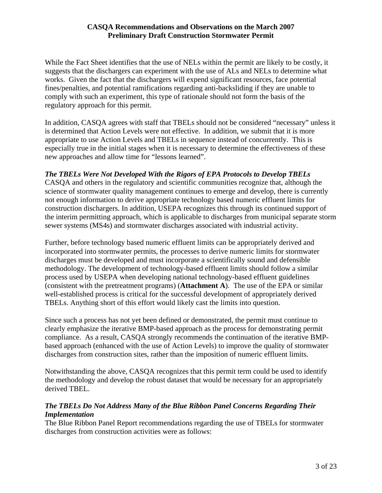While the Fact Sheet identifies that the use of NELs within the permit are likely to be costly, it suggests that the dischargers can experiment with the use of ALs and NELs to determine what works. Given the fact that the dischargers will expend significant resources, face potential fines/penalties, and potential ramifications regarding anti-backsliding if they are unable to comply with such an experiment, this type of rationale should not form the basis of the regulatory approach for this permit.

In addition, CASQA agrees with staff that TBELs should not be considered "necessary" unless it is determined that Action Levels were not effective. In addition, we submit that it is more appropriate to use Action Levels and TBELs in sequence instead of concurrently. This is especially true in the initial stages when it is necessary to determine the effectiveness of these new approaches and allow time for "lessons learned".

# *The TBELs Were Not Developed With the Rigors of EPA Protocols to Develop TBELs*

CASQA and others in the regulatory and scientific communities recognize that, although the science of stormwater quality management continues to emerge and develop, there is currently not enough information to derive appropriate technology based numeric effluent limits for construction dischargers. In addition, USEPA recognizes this through its continued support of the interim permitting approach, which is applicable to discharges from municipal separate storm sewer systems (MS4s) and stormwater discharges associated with industrial activity.

Further, before technology based numeric effluent limits can be appropriately derived and incorporated into stormwater permits, the processes to derive numeric limits for stormwater discharges must be developed and must incorporate a scientifically sound and defensible methodology. The development of technology-based effluent limits should follow a similar process used by USEPA when developing national technology-based effluent guidelines (consistent with the pretreatment programs) (**Attachment A**). The use of the EPA or similar well-established process is critical for the successful development of appropriately derived TBELs. Anything short of this effort would likely cast the limits into question.

Since such a process has not yet been defined or demonstrated, the permit must continue to clearly emphasize the iterative BMP-based approach as the process for demonstrating permit compliance. As a result, CASQA strongly recommends the continuation of the iterative BMPbased approach (enhanced with the use of Action Levels) to improve the quality of stormwater discharges from construction sites, rather than the imposition of numeric effluent limits.

Notwithstanding the above, CASQA recognizes that this permit term could be used to identify the methodology and develop the robust dataset that would be necessary for an appropriately derived TBEL.

# *The TBELs Do Not Address Many of the Blue Ribbon Panel Concerns Regarding Their Implementation*

The Blue Ribbon Panel Report recommendations regarding the use of TBELs for stormwater discharges from construction activities were as follows: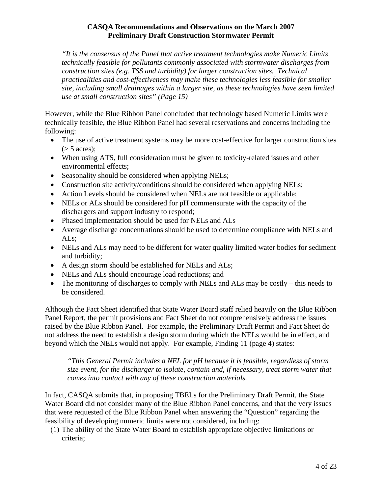*"It is the consensus of the Panel that active treatment technologies make Numeric Limits technically feasible for pollutants commonly associated with stormwater discharges from construction sites (e.g. TSS and turbidity) for larger construction sites. Technical practicalities and cost-effectiveness may make these technologies less feasible for smaller site, including small drainages within a larger site, as these technologies have seen limited use at small construction sites" (Page 15)* 

However, while the Blue Ribbon Panel concluded that technology based Numeric Limits were technically feasible, the Blue Ribbon Panel had several reservations and concerns including the following:

- The use of active treatment systems may be more cost-effective for larger construction sites  $($ > 5 acres);
- When using ATS, full consideration must be given to toxicity-related issues and other environmental effects;
- Seasonality should be considered when applying NELs;
- Construction site activity/conditions should be considered when applying NELs;
- Action Levels should be considered when NELs are not feasible or applicable;
- NELs or ALs should be considered for pH commensurate with the capacity of the dischargers and support industry to respond;
- Phased implementation should be used for NELs and ALs
- Average discharge concentrations should be used to determine compliance with NELs and ALs;
- NELs and ALs may need to be different for water quality limited water bodies for sediment and turbidity;
- A design storm should be established for NELs and ALs;
- NELs and ALs should encourage load reductions; and
- The monitoring of discharges to comply with NELs and ALs may be costly this needs to be considered.

Although the Fact Sheet identified that State Water Board staff relied heavily on the Blue Ribbon Panel Report, the permit provisions and Fact Sheet do not comprehensively address the issues raised by the Blue Ribbon Panel. For example, the Preliminary Draft Permit and Fact Sheet do not address the need to establish a design storm during which the NELs would be in effect, and beyond which the NELs would not apply. For example, Finding 11 (page 4) states:

*"This General Permit includes a NEL for pH because it is feasible, regardless of storm size event, for the discharger to isolate, contain and, if necessary, treat storm water that comes into contact with any of these construction materials.* 

In fact, CASQA submits that, in proposing TBELs for the Preliminary Draft Permit, the State Water Board did not consider many of the Blue Ribbon Panel concerns, and that the very issues that were requested of the Blue Ribbon Panel when answering the "Question" regarding the feasibility of developing numeric limits were not considered, including:

(1) The ability of the State Water Board to establish appropriate objective limitations or criteria;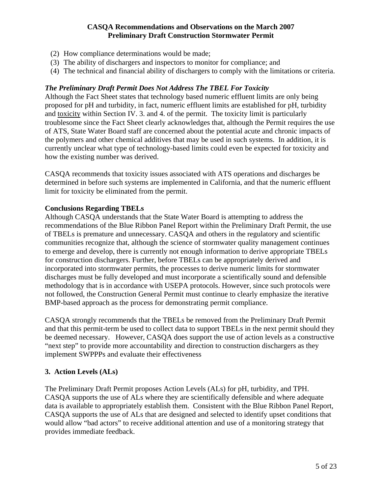- (2) How compliance determinations would be made;
- (3) The ability of dischargers and inspectors to monitor for compliance; and
- (4) The technical and financial ability of dischargers to comply with the limitations or criteria.

#### *The Preliminary Draft Permit Does Not Address The TBEL For Toxicity*

Although the Fact Sheet states that technology based numeric effluent limits are only being proposed for pH and turbidity, in fact, numeric effluent limits are established for pH, turbidity and toxicity within Section IV. 3. and 4. of the permit. The toxicity limit is particularly troublesome since the Fact Sheet clearly acknowledges that, although the Permit requires the use of ATS, State Water Board staff are concerned about the potential acute and chronic impacts of the polymers and other chemical additives that may be used in such systems. In addition, it is currently unclear what type of technology-based limits could even be expected for toxicity and how the existing number was derived.

CASQA recommends that toxicity issues associated with ATS operations and discharges be determined in before such systems are implemented in California, and that the numeric effluent limit for toxicity be eliminated from the permit.

#### **Conclusions Regarding TBELs**

Although CASQA understands that the State Water Board is attempting to address the recommendations of the Blue Ribbon Panel Report within the Preliminary Draft Permit, the use of TBELs is premature and unnecessary. CASQA and others in the regulatory and scientific communities recognize that, although the science of stormwater quality management continues to emerge and develop, there is currently not enough information to derive appropriate TBELs for construction dischargers. Further, before TBELs can be appropriately derived and incorporated into stormwater permits, the processes to derive numeric limits for stormwater discharges must be fully developed and must incorporate a scientifically sound and defensible methodology that is in accordance with USEPA protocols. However, since such protocols were not followed, the Construction General Permit must continue to clearly emphasize the iterative BMP-based approach as the process for demonstrating permit compliance.

CASQA strongly recommends that the TBELs be removed from the Preliminary Draft Permit and that this permit-term be used to collect data to support TBELs in the next permit should they be deemed necessary. However, CASQA does support the use of action levels as a constructive "next step" to provide more accountability and direction to construction dischargers as they implement SWPPPs and evaluate their effectiveness

#### **3. Action Levels (ALs)**

The Preliminary Draft Permit proposes Action Levels (ALs) for pH, turbidity, and TPH. CASQA supports the use of ALs where they are scientifically defensible and where adequate data is available to appropriately establish them. Consistent with the Blue Ribbon Panel Report, CASQA supports the use of ALs that are designed and selected to identify upset conditions that would allow "bad actors" to receive additional attention and use of a monitoring strategy that provides immediate feedback.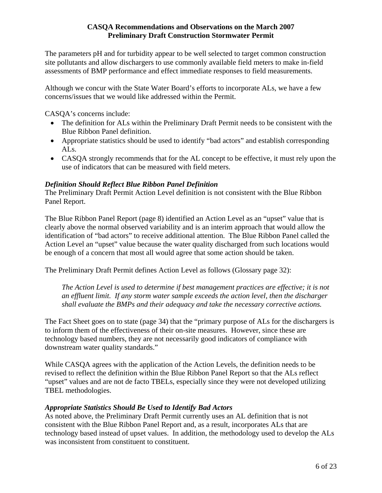The parameters pH and for turbidity appear to be well selected to target common construction site pollutants and allow dischargers to use commonly available field meters to make in-field assessments of BMP performance and effect immediate responses to field measurements.

Although we concur with the State Water Board's efforts to incorporate ALs, we have a few concerns/issues that we would like addressed within the Permit.

CASQA's concerns include:

- The definition for ALs within the Preliminary Draft Permit needs to be consistent with the Blue Ribbon Panel definition.
- Appropriate statistics should be used to identify "bad actors" and establish corresponding ALs.
- CASQA strongly recommends that for the AL concept to be effective, it must rely upon the use of indicators that can be measured with field meters.

## *Definition Should Reflect Blue Ribbon Panel Definition*

The Preliminary Draft Permit Action Level definition is not consistent with the Blue Ribbon Panel Report.

The Blue Ribbon Panel Report (page 8) identified an Action Level as an "upset" value that is clearly above the normal observed variability and is an interim approach that would allow the identification of "bad actors" to receive additional attention. The Blue Ribbon Panel called the Action Level an "upset" value because the water quality discharged from such locations would be enough of a concern that most all would agree that some action should be taken.

The Preliminary Draft Permit defines Action Level as follows (Glossary page 32):

*The Action Level is used to determine if best management practices are effective; it is not an effluent limit. If any storm water sample exceeds the action level, then the discharger shall evaluate the BMPs and their adequacy and take the necessary corrective actions.* 

The Fact Sheet goes on to state (page 34) that the "primary purpose of ALs for the dischargers is to inform them of the effectiveness of their on-site measures. However, since these are technology based numbers, they are not necessarily good indicators of compliance with downstream water quality standards."

While CASQA agrees with the application of the Action Levels, the definition needs to be revised to reflect the definition within the Blue Ribbon Panel Report so that the ALs reflect "upset" values and are not de facto TBELs, especially since they were not developed utilizing TBEL methodologies.

# *Appropriate Statistics Should Be Used to Identify Bad Actors*

As noted above, the Preliminary Draft Permit currently uses an AL definition that is not consistent with the Blue Ribbon Panel Report and, as a result, incorporates ALs that are technology based instead of upset values. In addition, the methodology used to develop the ALs was inconsistent from constituent to constituent.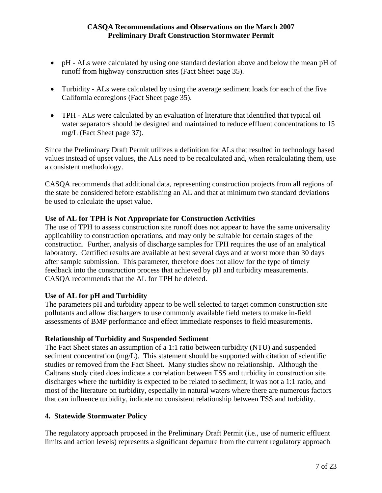- pH ALs were calculated by using one standard deviation above and below the mean pH of runoff from highway construction sites (Fact Sheet page 35).
- Turbidity ALs were calculated by using the average sediment loads for each of the five California ecoregions (Fact Sheet page 35).
- TPH ALs were calculated by an evaluation of literature that identified that typical oil water separators should be designed and maintained to reduce effluent concentrations to 15 mg/L (Fact Sheet page 37).

Since the Preliminary Draft Permit utilizes a definition for ALs that resulted in technology based values instead of upset values, the ALs need to be recalculated and, when recalculating them, use a consistent methodology.

CASQA recommends that additional data, representing construction projects from all regions of the state be considered before establishing an AL and that at minimum two standard deviations be used to calculate the upset value.

# **Use of AL for TPH is Not Appropriate for Construction Activities**

The use of TPH to assess construction site runoff does not appear to have the same universality applicability to construction operations, and may only be suitable for certain stages of the construction. Further, analysis of discharge samples for TPH requires the use of an analytical laboratory. Certified results are available at best several days and at worst more than 30 days after sample submission. This parameter, therefore does not allow for the type of timely feedback into the construction process that achieved by pH and turbidity measurements. CASQA recommends that the AL for TPH be deleted.

# **Use of AL for pH and Turbidity**

The parameters pH and turbidity appear to be well selected to target common construction site pollutants and allow dischargers to use commonly available field meters to make in-field assessments of BMP performance and effect immediate responses to field measurements.

# **Relationship of Turbidity and Suspended Sediment**

The Fact Sheet states an assumption of a 1:1 ratio between turbidity (NTU) and suspended sediment concentration (mg/L). This statement should be supported with citation of scientific studies or removed from the Fact Sheet. Many studies show no relationship. Although the Caltrans study cited does indicate a correlation between TSS and turbidity in construction site discharges where the turbidity is expected to be related to sediment, it was not a 1:1 ratio, and most of the literature on turbidity, especially in natural waters where there are numerous factors that can influence turbidity, indicate no consistent relationship between TSS and turbidity.

#### **4. Statewide Stormwater Policy**

The regulatory approach proposed in the Preliminary Draft Permit (i.e., use of numeric effluent limits and action levels) represents a significant departure from the current regulatory approach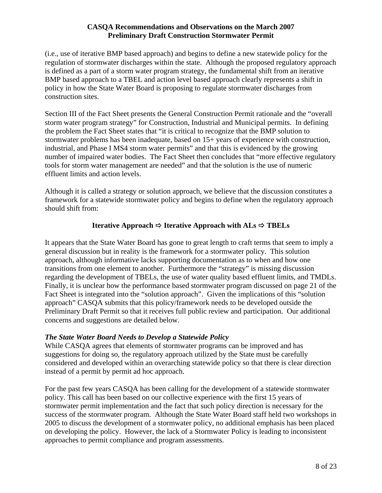(i.e., use of iterative BMP based approach) and begins to define a new statewide policy for the regulation of stormwater discharges within the state. Although the proposed regulatory approach is defined as a part of a storm water program strategy, the fundamental shift from an iterative BMP based approach to a TBEL and action level based approach clearly represents a shift in policy in how the State Water Board is proposing to regulate stormwater discharges from construction sites.

Section III of the Fact Sheet presents the General Construction Permit rationale and the "overall storm water program strategy" for Construction, Industrial and Municipal permits. In defining the problem the Fact Sheet states that "it is critical to recognize that the BMP solution to stormwater problems has been inadequate, based on 15+ years of experience with construction, industrial, and Phase I MS4 storm water permits" and that this is evidenced by the growing number of impaired water bodies. The Fact Sheet then concludes that "more effective regulatory tools for storm water management are needed" and that the solution is the use of numeric effluent limits and action levels.

Although it is called a strategy or solution approach, we believe that the discussion constitutes a framework for a statewide stormwater policy and begins to define when the regulatory approach should shift from:

# **Iterative Approach**  $\Rightarrow$  **Iterative Approach with**  $\text{ALS} \Rightarrow \text{TBELs}$

It appears that the State Water Board has gone to great length to craft terms that seem to imply a general discussion but in reality is the framework for a stormwater policy. This solution approach, although informative lacks supporting documentation as to when and how one transitions from one element to another. Furthermore the "strategy" is missing discussion regarding the development of TBELs, the use of water quality based effluent limits, and TMDLs. Finally, it is unclear how the performance based stormwater program discussed on page 21 of the Fact Sheet is integrated into the "solution approach". Given the implications of this "solution approach" CASQA submits that this policy/framework needs to be developed outside the Preliminary Draft Permit so that it receives full public review and participation. Our additional concerns and suggestions are detailed below.

#### *The State Water Board Needs to Develop a Statewide Policy*

While CASQA agrees that elements of stormwater programs can be improved and has suggestions for doing so, the regulatory approach utilized by the State must be carefully considered and developed within an overarching statewide policy so that there is clear direction instead of a permit by permit ad hoc approach.

For the past few years CASQA has been calling for the development of a statewide stormwater policy. This call has been based on our collective experience with the first 15 years of stormwater permit implementation and the fact that such policy direction is necessary for the success of the stormwater program. Although the State Water Board staff held two workshops in 2005 to discuss the development of a stormwater policy, no additional emphasis has been placed on developing the policy. However, the lack of a Stormwater Policy is leading to inconsistent approaches to permit compliance and program assessments.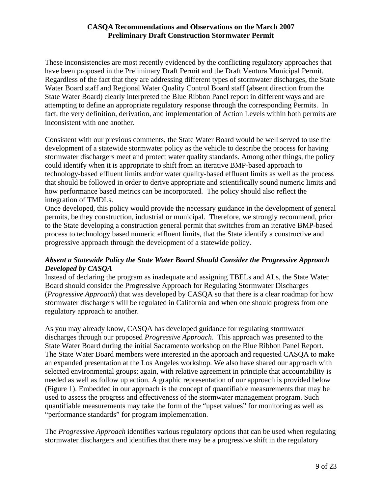These inconsistencies are most recently evidenced by the conflicting regulatory approaches that have been proposed in the Preliminary Draft Permit and the Draft Ventura Municipal Permit. Regardless of the fact that they are addressing different types of stormwater discharges, the State Water Board staff and Regional Water Quality Control Board staff (absent direction from the State Water Board) clearly interpreted the Blue Ribbon Panel report in different ways and are attempting to define an appropriate regulatory response through the corresponding Permits. In fact, the very definition, derivation, and implementation of Action Levels within both permits are inconsistent with one another.

Consistent with our previous comments, the State Water Board would be well served to use the development of a statewide stormwater policy as the vehicle to describe the process for having stormwater dischargers meet and protect water quality standards. Among other things, the policy could identify when it is appropriate to shift from an iterative BMP-based approach to technology-based effluent limits and/or water quality-based effluent limits as well as the process that should be followed in order to derive appropriate and scientifically sound numeric limits and how performance based metrics can be incorporated. The policy should also reflect the integration of TMDLs.

Once developed, this policy would provide the necessary guidance in the development of general permits, be they construction, industrial or municipal. Therefore, we strongly recommend, prior to the State developing a construction general permit that switches from an iterative BMP-based process to technology based numeric effluent limits, that the State identify a constructive and progressive approach through the development of a statewide policy.

# *Absent a Statewide Policy the State Water Board Should Consider the Progressive Approach Developed by CASQA*

Instead of declaring the program as inadequate and assigning TBELs and ALs, the State Water Board should consider the Progressive Approach for Regulating Stormwater Discharges (*Progressive Approach*) that was developed by CASQA so that there is a clear roadmap for how stormwater dischargers will be regulated in California and when one should progress from one regulatory approach to another.

As you may already know, CASQA has developed guidance for regulating stormwater discharges through our proposed *Progressive Approach*. This approach was presented to the State Water Board during the initial Sacramento workshop on the Blue Ribbon Panel Report. The State Water Board members were interested in the approach and requested CASQA to make an expanded presentation at the Los Angeles workshop. We also have shared our approach with selected environmental groups; again, with relative agreement in principle that accountability is needed as well as follow up action. A graphic representation of our approach is provided below (Figure 1). Embedded in our approach is the concept of quantifiable measurements that may be used to assess the progress and effectiveness of the stormwater management program. Such quantifiable measurements may take the form of the "upset values" for monitoring as well as "performance standards" for program implementation.

The *Progressive Approach* identifies various regulatory options that can be used when regulating stormwater dischargers and identifies that there may be a progressive shift in the regulatory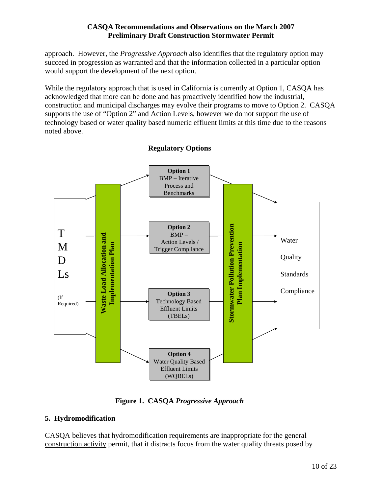approach. However, the *Progressive Approach* also identifies that the regulatory option may succeed in progression as warranted and that the information collected in a particular option would support the development of the next option.

While the regulatory approach that is used in California is currently at Option 1, CASQA has acknowledged that more can be done and has proactively identified how the industrial, construction and municipal discharges may evolve their programs to move to Option 2. CASQA supports the use of "Option 2" and Action Levels, however we do not support the use of technology based or water quality based numeric effluent limits at this time due to the reasons noted above.



# **Regulatory Options**

**Figure 1. CASQA** *Progressive Approach*

# **5. Hydromodification**

CASQA believes that hydromodification requirements are inappropriate for the general construction activity permit, that it distracts focus from the water quality threats posed by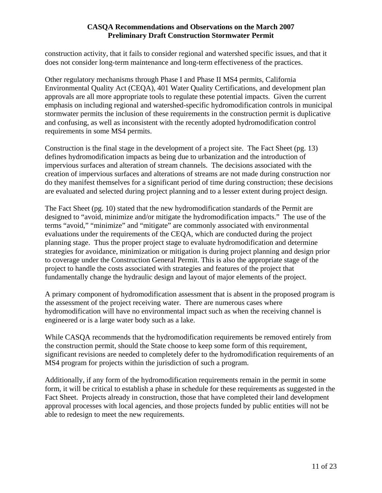construction activity, that it fails to consider regional and watershed specific issues, and that it does not consider long-term maintenance and long-term effectiveness of the practices.

Other regulatory mechanisms through Phase I and Phase II MS4 permits, California Environmental Quality Act (CEQA), 401 Water Quality Certifications, and development plan approvals are all more appropriate tools to regulate these potential impacts. Given the current emphasis on including regional and watershed-specific hydromodification controls in municipal stormwater permits the inclusion of these requirements in the construction permit is duplicative and confusing, as well as inconsistent with the recently adopted hydromodification control requirements in some MS4 permits.

Construction is the final stage in the development of a project site. The Fact Sheet (pg. 13) defines hydromodification impacts as being due to urbanization and the introduction of impervious surfaces and alteration of stream channels. The decisions associated with the creation of impervious surfaces and alterations of streams are not made during construction nor do they manifest themselves for a significant period of time during construction; these decisions are evaluated and selected during project planning and to a lesser extent during project design.

The Fact Sheet (pg. 10) stated that the new hydromodification standards of the Permit are designed to "avoid, minimize and/or mitigate the hydromodification impacts." The use of the terms "avoid," "minimize" and "mitigate" are commonly associated with environmental evaluations under the requirements of the CEQA, which are conducted during the project planning stage. Thus the proper project stage to evaluate hydromodification and determine strategies for avoidance, minimization or mitigation is during project planning and design prior to coverage under the Construction General Permit. This is also the appropriate stage of the project to handle the costs associated with strategies and features of the project that fundamentally change the hydraulic design and layout of major elements of the project.

A primary component of hydromodification assessment that is absent in the proposed program is the assessment of the project receiving water. There are numerous cases where hydromodification will have no environmental impact such as when the receiving channel is engineered or is a large water body such as a lake.

While CASQA recommends that the hydromodification requirements be removed entirely from the construction permit, should the State choose to keep some form of this requirement, significant revisions are needed to completely defer to the hydromodification requirements of an MS4 program for projects within the jurisdiction of such a program.

Additionally, if any form of the hydromodification requirements remain in the permit in some form, it will be critical to establish a phase in schedule for these requirements as suggested in the Fact Sheet. Projects already in construction, those that have completed their land development approval processes with local agencies, and those projects funded by public entities will not be able to redesign to meet the new requirements.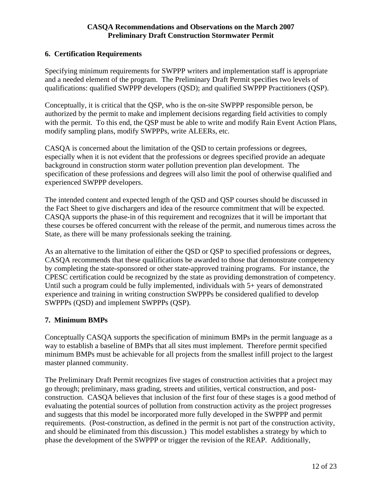#### **6. Certification Requirements**

Specifying minimum requirements for SWPPP writers and implementation staff is appropriate and a needed element of the program. The Preliminary Draft Permit specifies two levels of qualifications: qualified SWPPP developers (QSD); and qualified SWPPP Practitioners (QSP).

Conceptually, it is critical that the QSP, who is the on-site SWPPP responsible person, be authorized by the permit to make and implement decisions regarding field activities to comply with the permit. To this end, the QSP must be able to write and modify Rain Event Action Plans, modify sampling plans, modify SWPPPs, write ALEERs, etc.

CASQA is concerned about the limitation of the QSD to certain professions or degrees, especially when it is not evident that the professions or degrees specified provide an adequate background in construction storm water pollution prevention plan development. The specification of these professions and degrees will also limit the pool of otherwise qualified and experienced SWPPP developers.

The intended content and expected length of the QSD and QSP courses should be discussed in the Fact Sheet to give dischargers and idea of the resource commitment that will be expected. CASQA supports the phase-in of this requirement and recognizes that it will be important that these courses be offered concurrent with the release of the permit, and numerous times across the State, as there will be many professionals seeking the training.

As an alternative to the limitation of either the QSD or QSP to specified professions or degrees, CASQA recommends that these qualifications be awarded to those that demonstrate competency by completing the state-sponsored or other state-approved training programs. For instance, the CPESC certification could be recognized by the state as providing demonstration of competency. Until such a program could be fully implemented, individuals with 5+ years of demonstrated experience and training in writing construction SWPPPs be considered qualified to develop SWPPPs (QSD) and implement SWPPPs (QSP).

# **7. Minimum BMPs**

Conceptually CASQA supports the specification of minimum BMPs in the permit language as a way to establish a baseline of BMPs that all sites must implement. Therefore permit specified minimum BMPs must be achievable for all projects from the smallest infill project to the largest master planned community.

The Preliminary Draft Permit recognizes five stages of construction activities that a project may go through; preliminary, mass grading, streets and utilities, vertical construction, and postconstruction. CASQA believes that inclusion of the first four of these stages is a good method of evaluating the potential sources of pollution from construction activity as the project progresses and suggests that this model be incorporated more fully developed in the SWPPP and permit requirements. (Post-construction, as defined in the permit is not part of the construction activity, and should be eliminated from this discussion.) This model establishes a strategy by which to phase the development of the SWPPP or trigger the revision of the REAP. Additionally,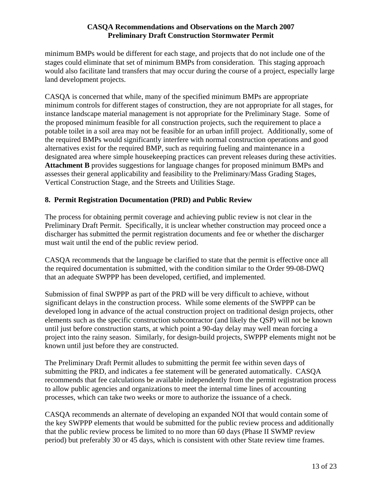minimum BMPs would be different for each stage, and projects that do not include one of the stages could eliminate that set of minimum BMPs from consideration. This staging approach would also facilitate land transfers that may occur during the course of a project, especially large land development projects.

CASQA is concerned that while, many of the specified minimum BMPs are appropriate minimum controls for different stages of construction, they are not appropriate for all stages, for instance landscape material management is not appropriate for the Preliminary Stage. Some of the proposed minimum feasible for all construction projects, such the requirement to place a potable toilet in a soil area may not be feasible for an urban infill project. Additionally, some of the required BMPs would significantly interfere with normal construction operations and good alternatives exist for the required BMP, such as requiring fueling and maintenance in a designated area where simple housekeeping practices can prevent releases during these activities. **Attachment B** provides suggestions for language changes for proposed minimum BMPs and assesses their general applicability and feasibility to the Preliminary/Mass Grading Stages, Vertical Construction Stage, and the Streets and Utilities Stage.

## **8. Permit Registration Documentation (PRD) and Public Review**

The process for obtaining permit coverage and achieving public review is not clear in the Preliminary Draft Permit. Specifically, it is unclear whether construction may proceed once a discharger has submitted the permit registration documents and fee or whether the discharger must wait until the end of the public review period.

CASQA recommends that the language be clarified to state that the permit is effective once all the required documentation is submitted, with the condition similar to the Order 99-08-DWQ that an adequate SWPPP has been developed, certified, and implemented.

Submission of final SWPPP as part of the PRD will be very difficult to achieve, without significant delays in the construction process. While some elements of the SWPPP can be developed long in advance of the actual construction project on traditional design projects, other elements such as the specific construction subcontractor (and likely the QSP) will not be known until just before construction starts, at which point a 90-day delay may well mean forcing a project into the rainy season. Similarly, for design-build projects, SWPPP elements might not be known until just before they are constructed.

The Preliminary Draft Permit alludes to submitting the permit fee within seven days of submitting the PRD, and indicates a fee statement will be generated automatically. CASQA recommends that fee calculations be available independently from the permit registration process to allow public agencies and organizations to meet the internal time lines of accounting processes, which can take two weeks or more to authorize the issuance of a check.

CASQA recommends an alternate of developing an expanded NOI that would contain some of the key SWPPP elements that would be submitted for the public review process and additionally that the public review process be limited to no more than 60 days (Phase II SWMP review period) but preferably 30 or 45 days, which is consistent with other State review time frames.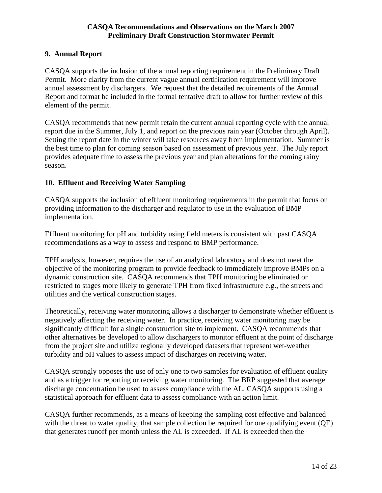#### **9. Annual Report**

CASQA supports the inclusion of the annual reporting requirement in the Preliminary Draft Permit. More clarity from the current vague annual certification requirement will improve annual assessment by dischargers. We request that the detailed requirements of the Annual Report and format be included in the formal tentative draft to allow for further review of this element of the permit.

CASQA recommends that new permit retain the current annual reporting cycle with the annual report due in the Summer, July 1, and report on the previous rain year (October through April). Setting the report date in the winter will take resources away from implementation. Summer is the best time to plan for coming season based on assessment of previous year. The July report provides adequate time to assess the previous year and plan alterations for the coming rainy season.

## **10. Effluent and Receiving Water Sampling**

CASQA supports the inclusion of effluent monitoring requirements in the permit that focus on providing information to the discharger and regulator to use in the evaluation of BMP implementation.

Effluent monitoring for pH and turbidity using field meters is consistent with past CASQA recommendations as a way to assess and respond to BMP performance.

TPH analysis, however, requires the use of an analytical laboratory and does not meet the objective of the monitoring program to provide feedback to immediately improve BMPs on a dynamic construction site. CASQA recommends that TPH monitoring be eliminated or restricted to stages more likely to generate TPH from fixed infrastructure e.g., the streets and utilities and the vertical construction stages.

Theoretically, receiving water monitoring allows a discharger to demonstrate whether effluent is negatively affecting the receiving water. In practice, receiving water monitoring may be significantly difficult for a single construction site to implement. CASQA recommends that other alternatives be developed to allow dischargers to monitor effluent at the point of discharge from the project site and utilize regionally developed datasets that represent wet-weather turbidity and pH values to assess impact of discharges on receiving water.

CASQA strongly opposes the use of only one to two samples for evaluation of effluent quality and as a trigger for reporting or receiving water monitoring. The BRP suggested that average discharge concentration be used to assess compliance with the AL. CASQA supports using a statistical approach for effluent data to assess compliance with an action limit.

CASQA further recommends, as a means of keeping the sampling cost effective and balanced with the threat to water quality, that sample collection be required for one qualifying event (QE) that generates runoff per month unless the AL is exceeded. If AL is exceeded then the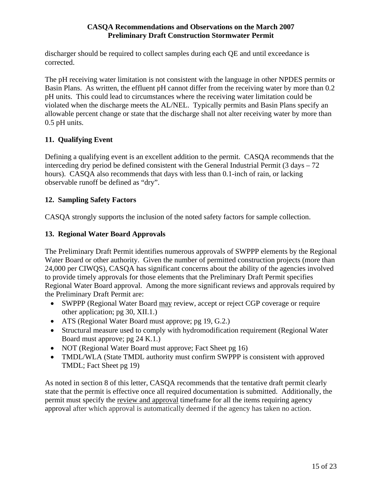discharger should be required to collect samples during each QE and until exceedance is corrected.

The pH receiving water limitation is not consistent with the language in other NPDES permits or Basin Plans. As written, the effluent pH cannot differ from the receiving water by more than 0.2 pH units. This could lead to circumstances where the receiving water limitation could be violated when the discharge meets the AL/NEL. Typically permits and Basin Plans specify an allowable percent change or state that the discharge shall not alter receiving water by more than 0.5 pH units.

# **11. Qualifying Event**

Defining a qualifying event is an excellent addition to the permit. CASQA recommends that the interceding dry period be defined consistent with the General Industrial Permit  $(3 \text{ days} - 72)$ hours). CASQA also recommends that days with less than 0.1-inch of rain, or lacking observable runoff be defined as "dry".

# **12. Sampling Safety Factors**

CASQA strongly supports the inclusion of the noted safety factors for sample collection.

# **13. Regional Water Board Approvals**

The Preliminary Draft Permit identifies numerous approvals of SWPPP elements by the Regional Water Board or other authority. Given the number of permitted construction projects (more than 24,000 per CIWQS), CASQA has significant concerns about the ability of the agencies involved to provide timely approvals for those elements that the Preliminary Draft Permit specifies Regional Water Board approval. Among the more significant reviews and approvals required by the Preliminary Draft Permit are:

- SWPPP (Regional Water Board may review, accept or reject CGP coverage or require other application; pg 30, XII.1.)
- ATS (Regional Water Board must approve; pg 19, G.2.)
- Structural measure used to comply with hydromodification requirement (Regional Water Board must approve; pg 24 K.1.)
- NOT (Regional Water Board must approve; Fact Sheet pg 16)
- TMDL/WLA (State TMDL authority must confirm SWPPP is consistent with approved TMDL; Fact Sheet pg 19)

As noted in section 8 of this letter, CASQA recommends that the tentative draft permit clearly state that the permit is effective once all required documentation is submitted. Additionally, the permit must specify the review and approval timeframe for all the items requiring agency approval after which approval is automatically deemed if the agency has taken no action.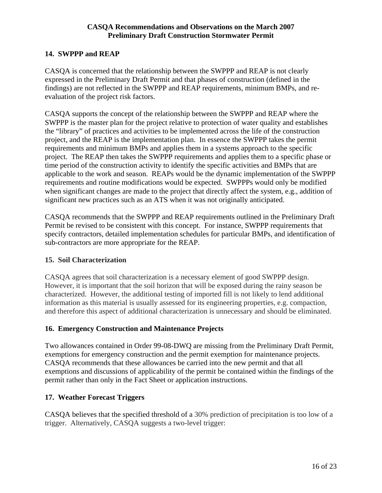## **14. SWPPP and REAP**

CASQA is concerned that the relationship between the SWPPP and REAP is not clearly expressed in the Preliminary Draft Permit and that phases of construction (defined in the findings) are not reflected in the SWPPP and REAP requirements, minimum BMPs, and reevaluation of the project risk factors.

CASQA supports the concept of the relationship between the SWPPP and REAP where the SWPPP is the master plan for the project relative to protection of water quality and establishes the "library" of practices and activities to be implemented across the life of the construction project, and the REAP is the implementation plan. In essence the SWPPP takes the permit requirements and minimum BMPs and applies them in a systems approach to the specific project. The REAP then takes the SWPPP requirements and applies them to a specific phase or time period of the construction activity to identify the specific activities and BMPs that are applicable to the work and season. REAPs would be the dynamic implementation of the SWPPP requirements and routine modifications would be expected. SWPPPs would only be modified when significant changes are made to the project that directly affect the system, e.g., addition of significant new practices such as an ATS when it was not originally anticipated.

CASQA recommends that the SWPPP and REAP requirements outlined in the Preliminary Draft Permit be revised to be consistent with this concept. For instance, SWPPP requirements that specify contractors, detailed implementation schedules for particular BMPs, and identification of sub-contractors are more appropriate for the REAP.

#### **15. Soil Characterization**

CASQA agrees that soil characterization is a necessary element of good SWPPP design. However, it is important that the soil horizon that will be exposed during the rainy season be characterized. However, the additional testing of imported fill is not likely to lend additional information as this material is usually assessed for its engineering properties, e.g. compaction, and therefore this aspect of additional characterization is unnecessary and should be eliminated.

#### **16. Emergency Construction and Maintenance Projects**

Two allowances contained in Order 99-08-DWQ are missing from the Preliminary Draft Permit, exemptions for emergency construction and the permit exemption for maintenance projects. CASQA recommends that these allowances be carried into the new permit and that all exemptions and discussions of applicability of the permit be contained within the findings of the permit rather than only in the Fact Sheet or application instructions.

#### **17. Weather Forecast Triggers**

CASQA believes that the specified threshold of a 30% prediction of precipitation is too low of a trigger. Alternatively, CASQA suggests a two-level trigger: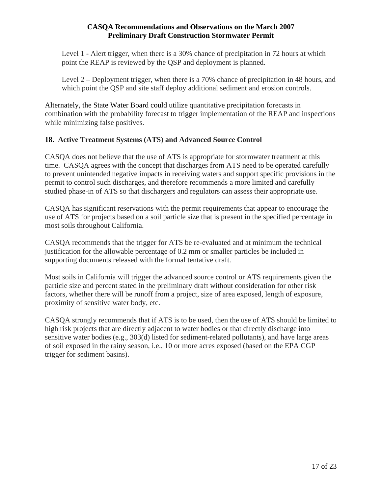Level 1 - Alert trigger, when there is a 30% chance of precipitation in 72 hours at which point the REAP is reviewed by the QSP and deployment is planned.

Level 2 – Deployment trigger, when there is a 70% chance of precipitation in 48 hours, and which point the QSP and site staff deploy additional sediment and erosion controls.

Alternately, the State Water Board could utilize quantitative precipitation forecasts in combination with the probability forecast to trigger implementation of the REAP and inspections while minimizing false positives.

# **18. Active Treatment Systems (ATS) and Advanced Source Control**

CASQA does not believe that the use of ATS is appropriate for stormwater treatment at this time. CASQA agrees with the concept that discharges from ATS need to be operated carefully to prevent unintended negative impacts in receiving waters and support specific provisions in the permit to control such discharges, and therefore recommends a more limited and carefully studied phase-in of ATS so that dischargers and regulators can assess their appropriate use.

CASQA has significant reservations with the permit requirements that appear to encourage the use of ATS for projects based on a soil particle size that is present in the specified percentage in most soils throughout California.

CASQA recommends that the trigger for ATS be re-evaluated and at minimum the technical justification for the allowable percentage of 0.2 mm or smaller particles be included in supporting documents released with the formal tentative draft.

Most soils in California will trigger the advanced source control or ATS requirements given the particle size and percent stated in the preliminary draft without consideration for other risk factors, whether there will be runoff from a project, size of area exposed, length of exposure, proximity of sensitive water body, etc.

CASQA strongly recommends that if ATS is to be used, then the use of ATS should be limited to high risk projects that are directly adjacent to water bodies or that directly discharge into sensitive water bodies (e.g., 303(d) listed for sediment-related pollutants), and have large areas of soil exposed in the rainy season, i.e., 10 or more acres exposed (based on the EPA CGP trigger for sediment basins).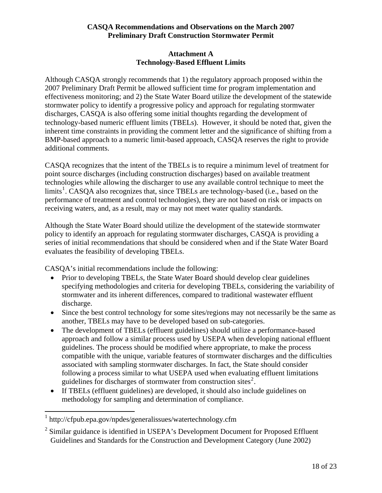## **Attachment A Technology-Based Effluent Limits**

<span id="page-19-0"></span>Although CASQA strongly recommends that 1) the regulatory approach proposed within the 2007 Preliminary Draft Permit be allowed sufficient time for program implementation and effectiveness monitoring; and 2) the State Water Board utilize the development of the statewide stormwater policy to identify a progressive policy and approach for regulating stormwater discharges, CASQA is also offering some initial thoughts regarding the development of technology-based numeric effluent limits (TBELs). However, it should be noted that, given the inherent time constraints in providing the comment letter and the significance of shifting from a BMP-based approach to a numeric limit-based approach, CASQA reserves the right to provide additional comments.

CASQA recognizes that the intent of the TBELs is to require a minimum level of treatment for point source discharges (including construction discharges) based on available treatment technologies while allowing the discharger to use any available control technique to meet the limits<sup>[1](#page-19-0)</sup>. CASQA also recognizes that, since TBELs are technology-based (i.e., based on the performance of treatment and control technologies), they are not based on risk or impacts on receiving waters, and, as a result, may or may not meet water quality standards.

Although the State Water Board should utilize the development of the statewide stormwater policy to identify an approach for regulating stormwater discharges, CASQA is providing a series of initial recommendations that should be considered when and if the State Water Board evaluates the feasibility of developing TBELs.

CASQA's initial recommendations include the following:

- Prior to developing TBELs, the State Water Board should develop clear guidelines specifying methodologies and criteria for developing TBELs, considering the variability of stormwater and its inherent differences, compared to traditional wastewater effluent discharge.
- Since the best control technology for some sites/regions may not necessarily be the same as another, TBELs may have to be developed based on sub-categories.
- The development of TBELs (effluent guidelines) should utilize a performance-based approach and follow a similar process used by USEPA when developing national effluent guidelines. The process should be modified where appropriate, to make the process compatible with the unique, variable features of stormwater discharges and the difficulties associated with sampling stormwater discharges. In fact, the State should consider following a process similar to what USEPA used when evaluating effluent limitations guidelines for discharges of stormwater from construction sites<sup>[2](#page-19-0)</sup>.
- If TBELs (effluent guidelines) are developed, it should also include guidelines on methodology for sampling and determination of compliance.

 1 http://cfpub.epa.gov/npdes/generalissues/watertechnology.cfm

 $2$  Similar guidance is identified in USEPA's Development Document for Proposed Effluent Guidelines and Standards for the Construction and Development Category (June 2002)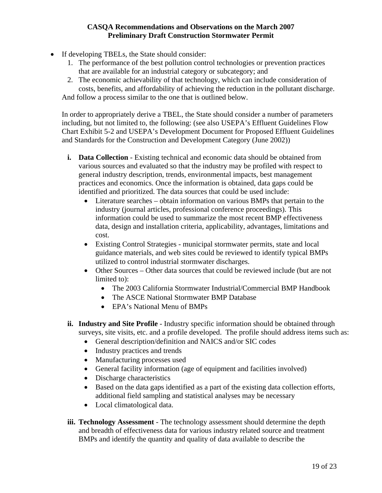- If developing TBELs, the State should consider:
	- 1. The performance of the best pollution control technologies or prevention practices that are available for an industrial category or subcategory; and
	- 2. The economic achievability of that technology, which can include consideration of costs, benefits, and affordability of achieving the reduction in the pollutant discharge.

And follow a process similar to the one that is outlined below.

In order to appropriately derive a TBEL, the State should consider a number of parameters including, but not limited to, the following: (see also USEPA's Effluent Guidelines Flow Chart Exhibit 5-2 and USEPA's Development Document for Proposed Effluent Guidelines and Standards for the Construction and Development Category (June 2002))

- **i.** Data Collection Existing technical and economic data should be obtained from various sources and evaluated so that the industry may be profiled with respect to general industry description, trends, environmental impacts, best management practices and economics. Once the information is obtained, data gaps could be identified and prioritized. The data sources that could be used include:
	- Literature searches obtain information on various BMPs that pertain to the industry (journal articles, professional conference proceedings). This information could be used to summarize the most recent BMP effectiveness data, design and installation criteria, applicability, advantages, limitations and cost.
	- Existing Control Strategies municipal stormwater permits, state and local guidance materials, and web sites could be reviewed to identify typical BMPs utilized to control industrial stormwater discharges.
	- Other Sources Other data sources that could be reviewed include (but are not limited to):
		- The 2003 California Stormwater Industrial/Commercial BMP Handbook
		- The ASCE National Stormwater BMP Database
		- EPA's National Menu of BMPs
- **ii. Industry and Site Profile**  Industry specific information should be obtained through surveys, site visits, etc. and a profile developed. The profile should address items such as:
	- General description/definition and NAICS and/or SIC codes
	- Industry practices and trends
	- Manufacturing processes used
	- General facility information (age of equipment and facilities involved)
	- Discharge characteristics
	- Based on the data gaps identified as a part of the existing data collection efforts, additional field sampling and statistical analyses may be necessary
	- Local climatological data.
- **iii. Technology Assessment**  The technology assessment should determine the depth and breadth of effectiveness data for various industry related source and treatment BMPs and identify the quantity and quality of data available to describe the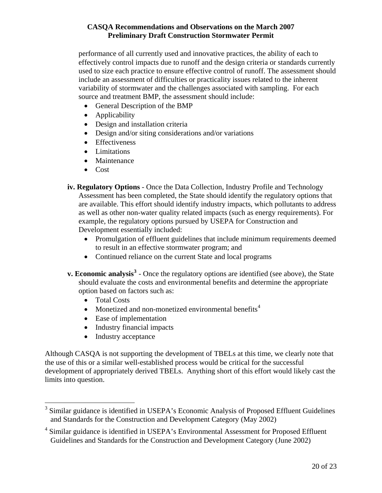<span id="page-21-0"></span>performance of all currently used and innovative practices, the ability of each to effectively control impacts due to runoff and the design criteria or standards currently used to size each practice to ensure effective control of runoff. The assessment should include an assessment of difficulties or practicality issues related to the inherent variability of stormwater and the challenges associated with sampling. For each source and treatment BMP, the assessment should include:

- General Description of the BMP
- Applicability
- Design and installation criteria
- Design and/or siting considerations and/or variations
- Effectiveness
- Limitations
- Maintenance
- Cost
- **iv. Regulatory Options**  Once the Data Collection, Industry Profile and Technology Assessment has been completed, the State should identify the regulatory options that are available. This effort should identify industry impacts, which pollutants to address as well as other non-water quality related impacts (such as energy requirements). For example, the regulatory options pursued by USEPA for Construction and Development essentially included:
	- Promulgation of effluent guidelines that include minimum requirements deemed to result in an effective stormwater program; and
	- Continued reliance on the current State and local programs
- **v. Economic analysis<sup>[3](#page-21-0)</sup>** Once the regulatory options are identified (see above), the State should evaluate the costs and environmental benefits and determine the appropriate option based on factors such as:
	- Total Costs
	- Monetized and non-monetized environmental benefits<sup>[4](#page-21-0)</sup>
	- Ease of implementation
	- Industry financial impacts
	- Industry acceptance

Although CASQA is not supporting the development of TBELs at this time, we clearly note that the use of this or a similar well-established process would be critical for the successful development of appropriately derived TBELs. Anything short of this effort would likely cast the limits into question.

<sup>&</sup>lt;sup>3</sup> Similar guidance is identified in USEPA's Economic Analysis of Proposed Effluent Guidelines and Standards for the Construction and Development Category (May 2002)

<sup>&</sup>lt;sup>4</sup> Similar guidance is identified in USEPA's Environmental Assessment for Proposed Effluent Guidelines and Standards for the Construction and Development Category (June 2002)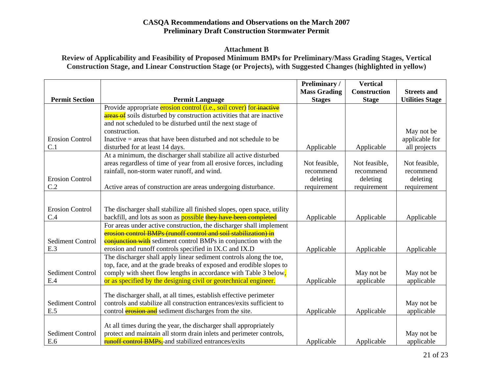#### **Attachment B**

**Review of Applicability and Feasibility of Proposed Minimum BMPs for Preliminary/Mass Grading Stages, Vertical Construction Stage, and Linear Construction Stage (or Projects), with Suggested Changes (highlighted in yellow)** 

|                         |                                                                              | Preliminary /       | <b>Vertical</b>     |                        |
|-------------------------|------------------------------------------------------------------------------|---------------------|---------------------|------------------------|
|                         |                                                                              | <b>Mass Grading</b> | <b>Construction</b> | <b>Streets and</b>     |
| <b>Permit Section</b>   | <b>Permit Language</b>                                                       | <b>Stages</b>       | <b>Stage</b>        | <b>Utilities Stage</b> |
|                         | Provide appropriate erosion control (i.e., soil cover) for inactive          |                     |                     |                        |
|                         | <b>areas of</b> soils disturbed by construction activities that are inactive |                     |                     |                        |
|                         | and not scheduled to be disturbed until the next stage of                    |                     |                     |                        |
|                         | construction.                                                                |                     |                     | May not be             |
| <b>Erosion Control</b>  | Inactive $=$ areas that have been disturbed and not schedule to be           |                     |                     | applicable for         |
| C.1                     | disturbed for at least 14 days.                                              | Applicable          | Applicable          | all projects           |
|                         | At a minimum, the discharger shall stabilize all active disturbed            |                     |                     |                        |
|                         | areas regardless of time of year from all erosive forces, including          | Not feasible,       | Not feasible,       | Not feasible,          |
|                         | rainfall, non-storm water runoff, and wind.                                  | recommend           | recommend           | recommend              |
| <b>Erosion Control</b>  |                                                                              | deleting            | deleting            | deleting               |
| C.2                     | Active areas of construction are areas undergoing disturbance.               | requirement         | requirement         | requirement            |
|                         |                                                                              |                     |                     |                        |
| <b>Erosion Control</b>  | The discharger shall stabilize all finished slopes, open space, utility      |                     |                     |                        |
| C.4                     | backfill, and lots as soon as <b>possible</b> they have been completed       | Applicable          | Applicable          | Applicable             |
|                         | For areas under active construction, the discharger shall implement          |                     |                     |                        |
|                         | erosion control BMPs (runoff control and soil stabilization) in              |                     |                     |                        |
| <b>Sediment Control</b> | <b>conjunction with</b> sediment control BMPs in conjunction with the        |                     |                     |                        |
| E.3                     | erosion and runoff controls specified in IX.C and IX.D                       | Applicable          | Applicable          | Applicable             |
|                         | The discharger shall apply linear sediment controls along the toe,           |                     |                     |                        |
|                         | top, face, and at the grade breaks of exposed and erodible slopes to         |                     |                     |                        |
| <b>Sediment Control</b> | comply with sheet flow lengths in accordance with Table 3 below,             |                     | May not be          | May not be             |
| E.4                     | or as specified by the designing civil or geotechnical engineer.             | Applicable          | applicable          | applicable             |
|                         |                                                                              |                     |                     |                        |
|                         | The discharger shall, at all times, establish effective perimeter            |                     |                     |                        |
| <b>Sediment Control</b> | controls and stabilize all construction entrances/exits sufficient to        |                     |                     | May not be             |
| E.5                     | control <b>erosion and</b> sediment discharges from the site.                | Applicable          | Applicable          | applicable             |
|                         | At all times during the year, the discharger shall appropriately             |                     |                     |                        |
| <b>Sediment Control</b> | protect and maintain all storm drain inlets and perimeter controls,          |                     |                     | May not be             |
| E.6                     | runoff control BMPs, and stabilized entrances/exits                          | Applicable          | Applicable          | applicable             |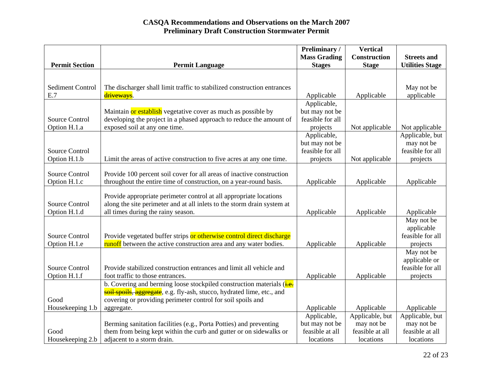|                         |                                                                         | Preliminary /       | <b>Vertical</b> |                        |
|-------------------------|-------------------------------------------------------------------------|---------------------|-----------------|------------------------|
|                         |                                                                         | <b>Mass Grading</b> | Construction    | <b>Streets and</b>     |
| <b>Permit Section</b>   | <b>Permit Language</b>                                                  | <b>Stages</b>       | <b>Stage</b>    | <b>Utilities Stage</b> |
|                         |                                                                         |                     |                 |                        |
|                         |                                                                         |                     |                 |                        |
| <b>Sediment Control</b> | The discharger shall limit traffic to stabilized construction entrances |                     |                 | May not be             |
| E.7                     | driveways.                                                              | Applicable          | Applicable      | applicable             |
|                         |                                                                         | Applicable,         |                 |                        |
|                         | Maintain or establish vegetative cover as much as possible by           | but may not be      |                 |                        |
| <b>Source Control</b>   | developing the project in a phased approach to reduce the amount of     | feasible for all    |                 |                        |
| Option H.1.a            | exposed soil at any one time.                                           | projects            | Not applicable  | Not applicable         |
|                         |                                                                         | Applicable,         |                 | Applicable, but        |
|                         |                                                                         | but may not be      |                 | may not be             |
| <b>Source Control</b>   |                                                                         | feasible for all    |                 | feasible for all       |
| Option H.1.b            | Limit the areas of active construction to five acres at any one time.   | projects            | Not applicable  | projects               |
|                         |                                                                         |                     |                 |                        |
| <b>Source Control</b>   | Provide 100 percent soil cover for all areas of inactive construction   |                     |                 |                        |
| Option H.1.c            | throughout the entire time of construction, on a year-round basis.      | Applicable          | Applicable      | Applicable             |
|                         |                                                                         |                     |                 |                        |
|                         | Provide appropriate perimeter control at all appropriate locations      |                     |                 |                        |
| <b>Source Control</b>   | along the site perimeter and at all inlets to the storm drain system at |                     |                 |                        |
| Option H.1.d            | all times during the rainy season.                                      | Applicable          | Applicable      | Applicable             |
|                         |                                                                         |                     |                 | May not be             |
|                         |                                                                         |                     |                 | applicable             |
| <b>Source Control</b>   | Provide vegetated buffer strips or otherwise control direct discharge   |                     |                 | feasible for all       |
| Option H.1.e            | runoff between the active construction area and any water bodies.       | Applicable          | Applicable      | projects               |
|                         |                                                                         |                     |                 | May not be             |
|                         |                                                                         |                     |                 | applicable or          |
| <b>Source Control</b>   | Provide stabilized construction entrances and limit all vehicle and     |                     |                 | feasible for all       |
| Option H.1.f            | foot traffic to those entrances.                                        | Applicable          | Applicable      | projects               |
|                         | b. Covering and berming loose stockpiled construction materials (i.e.   |                     |                 |                        |
|                         | soil spoils, aggregate, e.g. fly-ash, stucco, hydrated lime, etc., and  |                     |                 |                        |
| Good                    | covering or providing perimeter control for soil spoils and             |                     |                 |                        |
| Housekeeping 1.b        | aggregate.                                                              | Applicable          | Applicable      | Applicable             |
|                         |                                                                         | Applicable,         | Applicable, but | Applicable, but        |
|                         | Berming sanitation facilities (e.g., Porta Potties) and preventing      | but may not be      | may not be      | may not be             |
| Good                    | them from being kept within the curb and gutter or on sidewalks or      | feasible at all     | feasible at all | feasible at all        |
| Housekeeping 2.b        | adjacent to a storm drain.                                              | locations           | locations       | locations              |